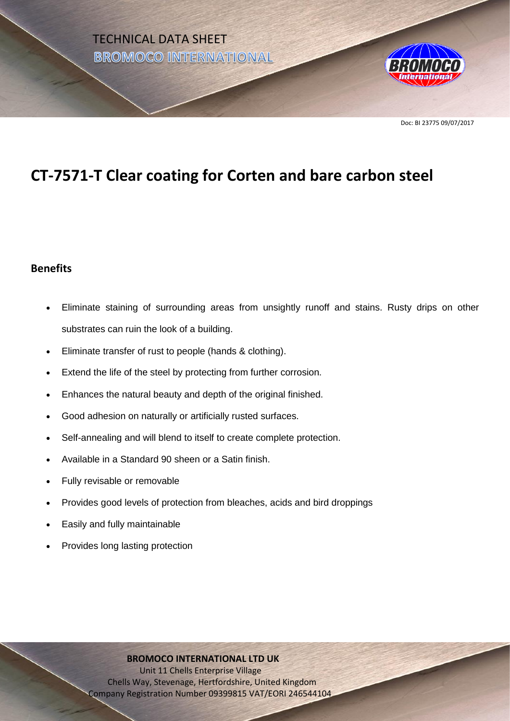

# **CT-7571-T Clear coating for Corten and bare carbon steel**

## **Benefits**

- Eliminate staining of surrounding areas from unsightly runoff and stains. Rusty drips on other substrates can ruin the look of a building.
- Eliminate transfer of rust to people (hands & clothing).
- Extend the life of the steel by protecting from further corrosion.
- Enhances the natural beauty and depth of the original finished.
- Good adhesion on naturally or artificially rusted surfaces.
- Self-annealing and will blend to itself to create complete protection.
- Available in a Standard 90 sheen or a Satin finish.
- Fully revisable or removable
- Provides good levels of protection from bleaches, acids and bird droppings
- Easily and fully maintainable
- Provides long lasting protection

#### **BROMOCO INTERNATIONAL LTD UK**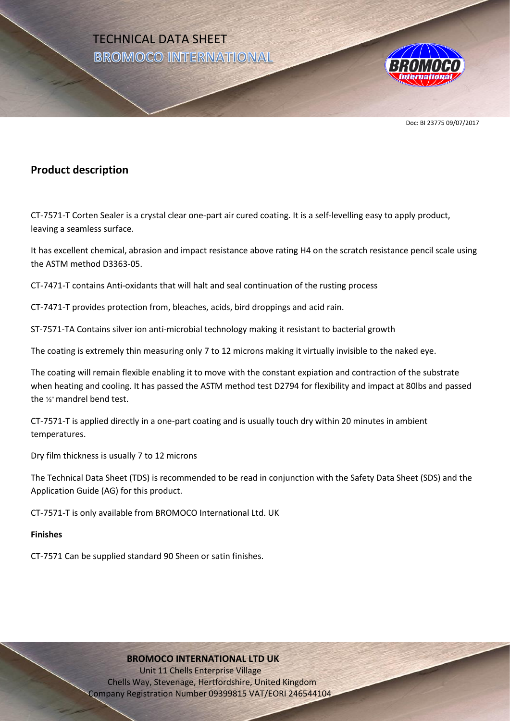

Doc: BI 23775 09/07/2017

## **Product description**

CT-7571-T Corten Sealer is a crystal clear one-part air cured coating. It is a self-levelling easy to apply product, leaving a seamless surface.

It has excellent chemical, abrasion and impact resistance above rating H4 on the scratch resistance pencil scale using the ASTM method D3363-05.

CT-7471-T contains Anti-oxidants that will halt and seal continuation of the rusting process

CT-7471-T provides protection from, bleaches, acids, bird droppings and acid rain.

ST-7571-TA Contains silver ion anti-microbial technology making it resistant to bacterial growth

The coating is extremely thin measuring only 7 to 12 microns making it virtually invisible to the naked eye.

The coating will remain flexible enabling it to move with the constant expiation and contraction of the substrate when heating and cooling. It has passed the ASTM method test D2794 for flexibility and impact at 80lbs and passed the ½" mandrel bend test.

CT-7571-T is applied directly in a one-part coating and is usually touch dry within 20 minutes in ambient temperatures.

Dry film thickness is usually 7 to 12 microns

The Technical Data Sheet (TDS) is recommended to be read in conjunction with the Safety Data Sheet (SDS) and the Application Guide (AG) for this product.

CT-7571-T is only available from BROMOCO International Ltd. UK

#### **Finishes**

CT-7571 Can be supplied standard 90 Sheen or satin finishes.

#### **BROMOCO INTERNATIONAL LTD UK**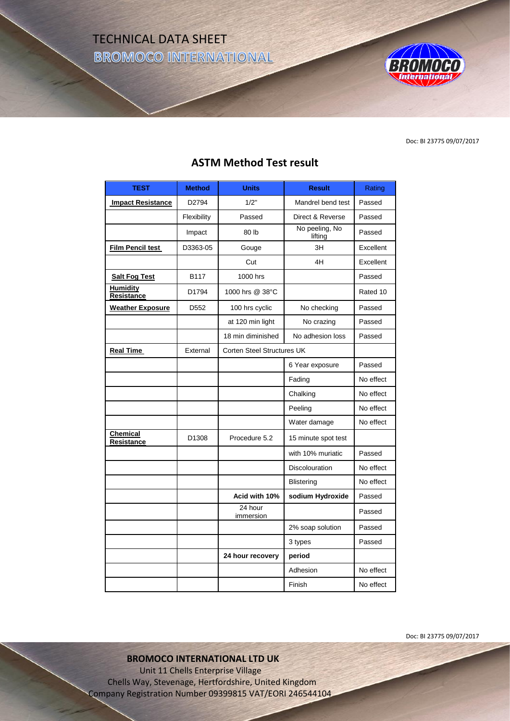TECHNICAL DATA SHEET **BROMOCO INTERNATIONAL** 



Doc: BI 23775 09/07/2017

| <b>TEST</b>                   | <b>Method</b>     | <b>Units</b>                      | <b>Result</b>             | Rating    |
|-------------------------------|-------------------|-----------------------------------|---------------------------|-----------|
| <b>Impact Resistance</b>      | D <sub>2794</sub> | 1/2"                              | Mandrel bend test         | Passed    |
|                               | Flexibility       | Passed                            | Direct & Reverse          | Passed    |
|                               | Impact            | 80 lb                             | No peeling, No<br>lifting | Passed    |
| Film Pencil test              | D3363-05          | Gouge                             | 3H                        | Excellent |
|                               |                   | Cut                               | 4H                        | Excellent |
| <b>Salt Fog Test</b>          | B117              | 1000 hrs                          |                           | Passed    |
| <b>Humidity</b><br>Resistance | D1794             | 1000 hrs @ 38°C                   |                           | Rated 10  |
| <b>Weather Exposure</b>       | D <sub>552</sub>  | 100 hrs cyclic                    | No checking               | Passed    |
|                               |                   | at 120 min light                  | No crazing                | Passed    |
|                               |                   | 18 min diminished                 | No adhesion loss          | Passed    |
| <b>Real Time</b>              | External          | <b>Corten Steel Structures UK</b> |                           |           |
|                               |                   |                                   | 6 Year exposure           | Passed    |
|                               |                   |                                   | Fading                    | No effect |
|                               |                   |                                   | Chalking                  | No effect |
|                               |                   |                                   | Peeling                   | No effect |
|                               |                   |                                   | Water damage              | No effect |
| <b>Chemical</b><br>Resistance | D1308             | Procedure 5.2                     | 15 minute spot test       |           |
|                               |                   |                                   | with 10% muriatic         | Passed    |
|                               |                   |                                   | <b>Discolouration</b>     | No effect |
|                               |                   |                                   | <b>Blistering</b>         | No effect |
|                               |                   | Acid with 10%                     | sodium Hydroxide          | Passed    |
|                               |                   | 24 hour<br>immersion              |                           | Passed    |
|                               |                   |                                   | 2% soap solution          | Passed    |
|                               |                   |                                   | 3 types                   | Passed    |
|                               |                   | 24 hour recovery                  | period                    |           |
|                               |                   |                                   | Adhesion                  | No effect |
|                               |                   |                                   | Finish                    | No effect |

## **ASTM Method Test result**

Doc: BI 23775 09/07/2017

**BROMOCO INTERNATIONAL LTD UK**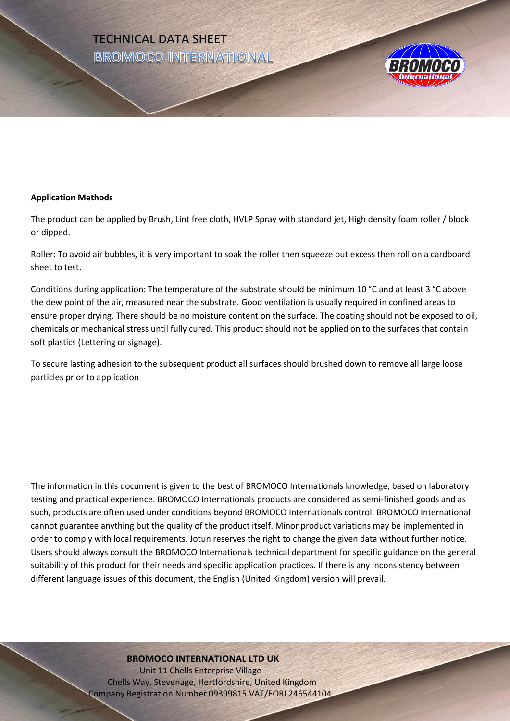



#### **Application Methods**

The product can be applied by Brush, Lint free cloth, HVLP Spray with standard jet, High density foam roller / block or dipped.

Roller: To avoid air bubbles, it is very important to soak the roller then squeeze out excess then roll on a cardboard sheet to test.

Conditions during application: The temperature of the substrate should be minimum 10 °C and at least 3 °C above the dew point of the air, measured near the substrate. Good ventilation is usually required in confined areas to ensure proper drying. There should be no moisture content on the surface. The coating should not be exposed to oil, chemicals or mechanical stress until fully cured. This product should not be applied on to the surfaces that contain soft plastics (Lettering or signage).

To secure lasting adhesion to the subsequent product all surfaces should brushed down to remove all large loose particles prior to application

The information in this document is given to the best of BROMOCO Internationals knowledge, based on laboratory testing and practical experience. BROMOCO Internationals products are considered as semi-finished goods and as such, products are often used under conditions beyond BROMOCO Internationals control. BROMOCO International cannot guarantee anything but the quality of the product itself. Minor product variations may be implemented in order to comply with local requirements. Jotun reserves the right to change the given data without further notice. Users should always consult the BROMOCO Internationals technical department for specific guidance on the general suitability of this product for their needs and specific application practices. If there is any inconsistency between different language issues of this document, the English (United Kingdom) version will prevail.

#### **BROMOCO INTERNATIONAL LTD UK**